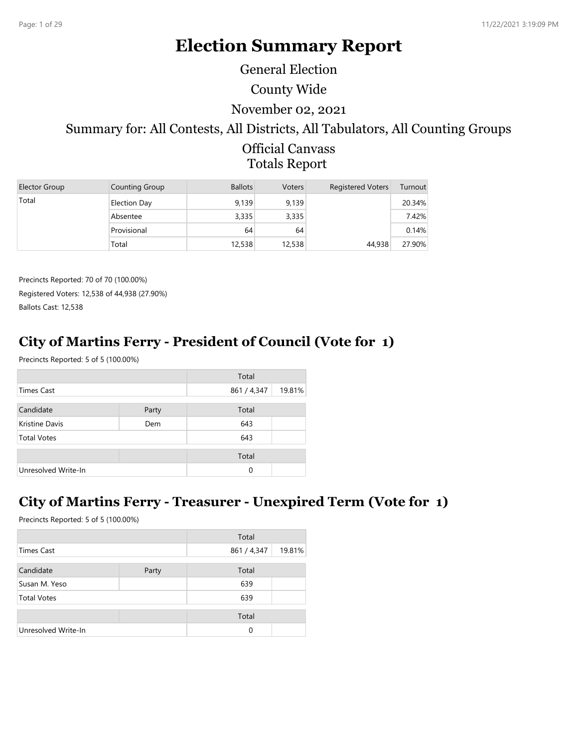# **Election Summary Report**

General Election

County Wide

#### November 02, 2021

# Summary for: All Contests, All Districts, All Tabulators, All Counting Groups

Official Canvass Totals Report

| Elector Group | Counting Group      | <b>Ballots</b> | <b>Voters</b> | <b>Registered Voters</b> | Turnout |
|---------------|---------------------|----------------|---------------|--------------------------|---------|
| Total         | <b>Election Day</b> | 9,139          | 9.139         |                          | 20.34%  |
|               | Absentee            | 3,335          | 3,335         |                          | 7.42%   |
|               | Provisional         | 64             | 64            |                          | 0.14%   |
|               | Total               | 12,538         | 12,538        | 44,938                   | 27.90%  |

Precincts Reported: 70 of 70 (100.00%) Registered Voters: 12,538 of 44,938 (27.90%) Ballots Cast: 12,538

## **City of Martins Ferry - President of Council (Vote for 1)**

Precincts Reported: 5 of 5 (100.00%)

|                     |       | Total       |        |
|---------------------|-------|-------------|--------|
| Times Cast          |       | 861 / 4,347 | 19.81% |
| Candidate           | Party | Total       |        |
| Kristine Davis      | Dem   | 643         |        |
| <b>Total Votes</b>  |       | 643         |        |
|                     |       |             |        |
|                     |       | Total       |        |
| Unresolved Write-In |       | $\Omega$    |        |

### **City of Martins Ferry - Treasurer - Unexpired Term (Vote for 1)**

|                     |       | Total       |        |
|---------------------|-------|-------------|--------|
| Times Cast          |       | 861 / 4,347 | 19.81% |
| Candidate           | Party | Total       |        |
| Susan M. Yeso       |       | 639         |        |
| <b>Total Votes</b>  |       | 639         |        |
|                     |       | Total       |        |
| Unresolved Write-In |       | $\Omega$    |        |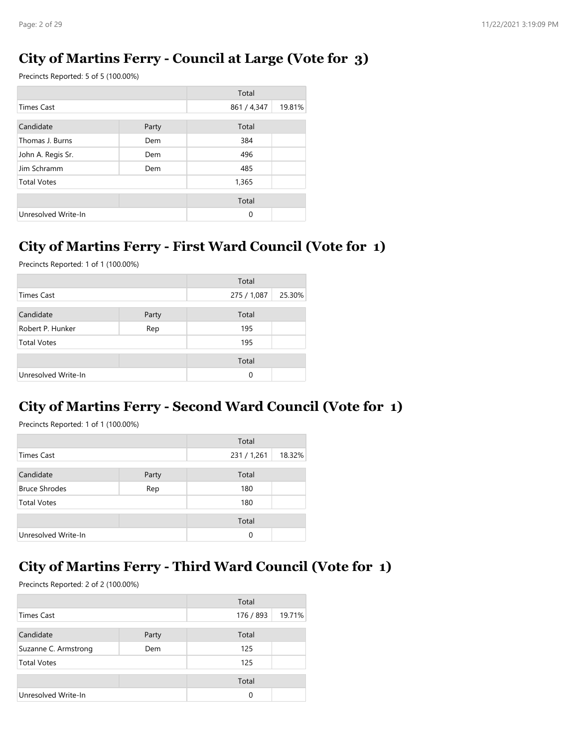### **City of Martins Ferry - Council at Large (Vote for 3)**

Precincts Reported: 5 of 5 (100.00%)

|                     |       | Total       |        |
|---------------------|-------|-------------|--------|
| <b>Times Cast</b>   |       | 861 / 4,347 | 19.81% |
| Candidate           | Party | Total       |        |
| Thomas J. Burns     | Dem   | 384         |        |
| John A. Regis Sr.   | Dem   | 496         |        |
| Jim Schramm         | Dem   | 485         |        |
| <b>Total Votes</b>  |       | 1,365       |        |
|                     |       | Total       |        |
| Unresolved Write-In |       | $\Omega$    |        |

### **City of Martins Ferry - First Ward Council (Vote for 1)**

Precincts Reported: 1 of 1 (100.00%)

|                     |       | Total       |        |
|---------------------|-------|-------------|--------|
| Times Cast          |       | 275 / 1,087 | 25.30% |
| Candidate           | Party | Total       |        |
| Robert P. Hunker    | Rep   | 195         |        |
| <b>Total Votes</b>  |       | 195         |        |
|                     |       | Total       |        |
| Unresolved Write-In |       | 0           |        |

## **City of Martins Ferry - Second Ward Council (Vote for 1)**

Precincts Reported: 1 of 1 (100.00%)

|                      |       | Total       |        |
|----------------------|-------|-------------|--------|
| Times Cast           |       | 231 / 1,261 | 18.32% |
|                      |       |             |        |
| Candidate            | Party | Total       |        |
| <b>Bruce Shrodes</b> | Rep   | 180         |        |
| <b>Total Votes</b>   |       | 180         |        |
|                      |       |             |        |
|                      |       | Total       |        |
| Unresolved Write-In  |       | $\Omega$    |        |

### **City of Martins Ferry - Third Ward Council (Vote for 1)**

|                      |       | Total     |        |
|----------------------|-------|-----------|--------|
| Times Cast           |       | 176 / 893 | 19.71% |
| Candidate            | Party | Total     |        |
| Suzanne C. Armstrong | Dem   | 125       |        |
| <b>Total Votes</b>   |       | 125       |        |
|                      |       | Total     |        |
| Unresolved Write-In  |       | 0         |        |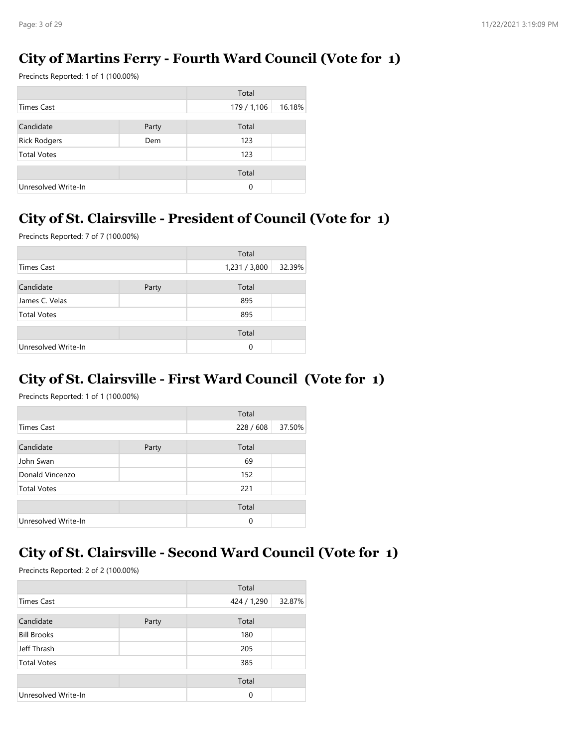## **City of Martins Ferry - Fourth Ward Council (Vote for 1)**

Precincts Reported: 1 of 1 (100.00%)

|                     |       | Total       |        |
|---------------------|-------|-------------|--------|
| Times Cast          |       | 179 / 1,106 | 16.18% |
| Candidate           | Party | Total       |        |
| <b>Rick Rodgers</b> | Dem   | 123         |        |
| <b>Total Votes</b>  |       | 123         |        |
|                     |       | Total       |        |
| Unresolved Write-In |       | 0           |        |

## **City of St. Clairsville - President of Council (Vote for 1)**

Precincts Reported: 7 of 7 (100.00%)

|                     |       | Total         |        |
|---------------------|-------|---------------|--------|
| <b>Times Cast</b>   |       | 1,231 / 3,800 | 32.39% |
| Candidate           | Party | Total         |        |
| James C. Velas      |       | 895           |        |
| <b>Total Votes</b>  |       | 895           |        |
|                     |       | Total         |        |
| Unresolved Write-In |       | 0             |        |

### **City of St. Clairsville - First Ward Council (Vote for 1)**

Precincts Reported: 1 of 1 (100.00%)

|                     |       | Total   |        |
|---------------------|-------|---------|--------|
| Times Cast          |       | 228/608 | 37.50% |
| Candidate           | Party | Total   |        |
| John Swan           |       | 69      |        |
| Donald Vincenzo     |       | 152     |        |
| <b>Total Votes</b>  |       | 221     |        |
|                     |       | Total   |        |
| Unresolved Write-In |       | 0       |        |

### **City of St. Clairsville - Second Ward Council (Vote for 1)**

|                     |       | Total       |        |
|---------------------|-------|-------------|--------|
| <b>Times Cast</b>   |       | 424 / 1,290 | 32.87% |
| Candidate           | Party | Total       |        |
| <b>Bill Brooks</b>  |       | 180         |        |
| Jeff Thrash         |       | 205         |        |
| <b>Total Votes</b>  |       | 385         |        |
|                     |       | Total       |        |
| Unresolved Write-In |       | $\Omega$    |        |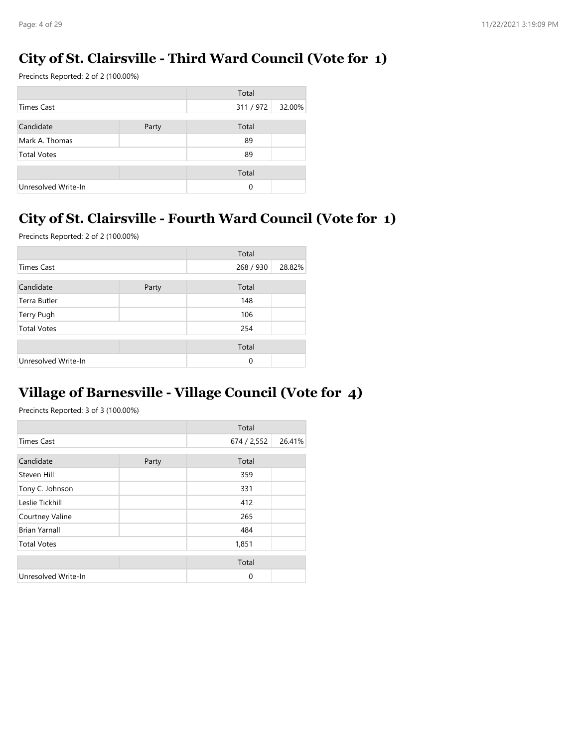### **City of St. Clairsville - Third Ward Council (Vote for 1)**

Precincts Reported: 2 of 2 (100.00%)

|                     |       | Total    |        |
|---------------------|-------|----------|--------|
| Times Cast          |       | 311/972  | 32.00% |
| Candidate           | Party | Total    |        |
| Mark A. Thomas      |       | 89       |        |
| <b>Total Votes</b>  |       | 89       |        |
|                     |       | Total    |        |
| Unresolved Write-In |       | $\Omega$ |        |

## **City of St. Clairsville - Fourth Ward Council (Vote for 1)**

Precincts Reported: 2 of 2 (100.00%)

|                     |       | Total     |        |
|---------------------|-------|-----------|--------|
| <b>Times Cast</b>   |       | 268 / 930 | 28.82% |
| Candidate           | Party | Total     |        |
| Terra Butler        |       | 148       |        |
| Terry Pugh          |       | 106       |        |
| <b>Total Votes</b>  |       | 254       |        |
|                     |       | Total     |        |
| Unresolved Write-In |       | $\Omega$  |        |

### **Village of Barnesville - Village Council (Vote for 4)**

|                      |       | Total       |        |
|----------------------|-------|-------------|--------|
| <b>Times Cast</b>    |       | 674 / 2,552 | 26.41% |
| Candidate            |       | Total       |        |
|                      | Party |             |        |
| Steven Hill          |       | 359         |        |
| Tony C. Johnson      |       | 331         |        |
| Leslie Tickhill      |       | 412         |        |
| Courtney Valine      |       | 265         |        |
| <b>Brian Yarnall</b> |       | 484         |        |
| <b>Total Votes</b>   |       | 1,851       |        |
|                      |       | Total       |        |
|                      |       |             |        |
| Unresolved Write-In  |       | $\Omega$    |        |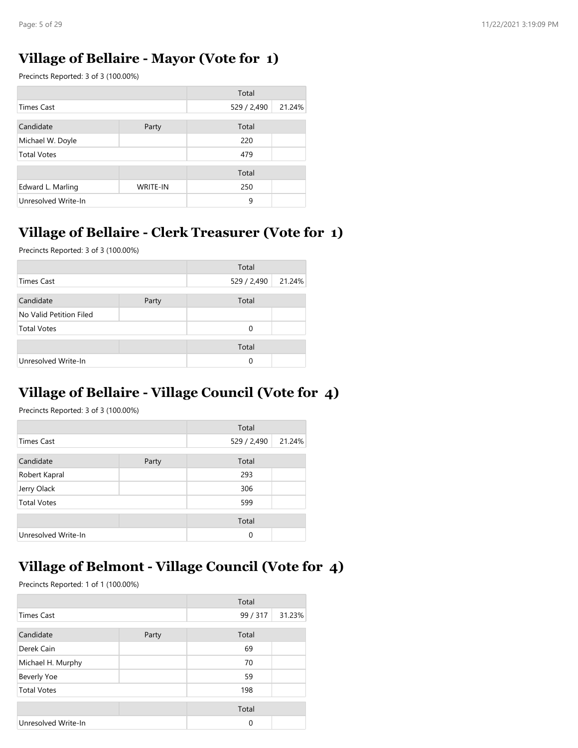### **Village of Bellaire - Mayor (Vote for 1)**

Precincts Reported: 3 of 3 (100.00%)

|                     |                 | Total       |        |
|---------------------|-----------------|-------------|--------|
| <b>Times Cast</b>   |                 | 529 / 2,490 | 21.24% |
| Candidate           | Party           | Total       |        |
| Michael W. Doyle    |                 | 220         |        |
| <b>Total Votes</b>  |                 | 479         |        |
|                     |                 | Total       |        |
| Edward L. Marling   | <b>WRITE-IN</b> | 250         |        |
| Unresolved Write-In |                 | 9           |        |

## **Village of Bellaire - Clerk Treasurer (Vote for 1)**

Precincts Reported: 3 of 3 (100.00%)

|                         |       | Total       |        |
|-------------------------|-------|-------------|--------|
| Times Cast              |       | 529 / 2,490 | 21.24% |
| Candidate               | Party | Total       |        |
| No Valid Petition Filed |       |             |        |
| <b>Total Votes</b>      |       | 0           |        |
|                         |       | Total       |        |
| Unresolved Write-In     |       | 0           |        |

## **Village of Bellaire - Village Council (Vote for 4)**

Precincts Reported: 3 of 3 (100.00%)

|                     |       | Total       |        |
|---------------------|-------|-------------|--------|
| <b>Times Cast</b>   |       | 529 / 2,490 | 21.24% |
| Candidate           | Party | Total       |        |
| Robert Kapral       |       | 293         |        |
| Jerry Olack         |       | 306         |        |
| <b>Total Votes</b>  |       | 599         |        |
|                     |       | Total       |        |
| Unresolved Write-In |       | $\Omega$    |        |

### **Village of Belmont - Village Council (Vote for 4)**

|                     |       | Total    |        |
|---------------------|-------|----------|--------|
| <b>Times Cast</b>   |       | 99 / 317 | 31.23% |
| Candidate           | Party | Total    |        |
| Derek Cain          |       | 69       |        |
| Michael H. Murphy   |       | 70       |        |
| <b>Beverly Yoe</b>  |       | 59       |        |
| <b>Total Votes</b>  |       | 198      |        |
|                     |       | Total    |        |
| Unresolved Write-In |       | $\Omega$ |        |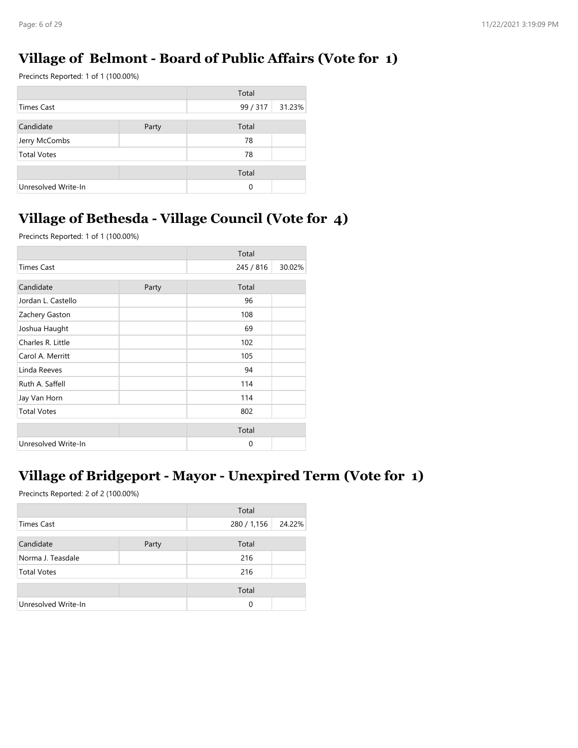## **Village of Belmont - Board of Public Affairs (Vote for 1)**

Precincts Reported: 1 of 1 (100.00%)

|                     |       | Total    |        |
|---------------------|-------|----------|--------|
| Times Cast          |       | 99 / 317 | 31.23% |
| Candidate           | Party | Total    |        |
| Jerry McCombs       |       | 78       |        |
| <b>Total Votes</b>  |       | 78       |        |
|                     |       | Total    |        |
| Unresolved Write-In |       | $\Omega$ |        |

## **Village of Bethesda - Village Council (Vote for 4)**

Precincts Reported: 1 of 1 (100.00%)

|                     |       | Total     |        |
|---------------------|-------|-----------|--------|
| <b>Times Cast</b>   |       | 245 / 816 | 30.02% |
| Candidate           | Party | Total     |        |
| Jordan L. Castello  |       | 96        |        |
| Zachery Gaston      |       | 108       |        |
| Joshua Haught       |       | 69        |        |
| Charles R. Little   |       | 102       |        |
| Carol A. Merritt    |       | 105       |        |
| Linda Reeves        |       | 94        |        |
| Ruth A. Saffell     |       | 114       |        |
| Jay Van Horn        |       | 114       |        |
| <b>Total Votes</b>  |       | 802       |        |
|                     |       | Total     |        |
| Unresolved Write-In |       | $\Omega$  |        |

## **Village of Bridgeport - Mayor - Unexpired Term (Vote for 1)**

|                     |       | Total       |        |
|---------------------|-------|-------------|--------|
| Times Cast          |       | 280 / 1,156 | 24.22% |
| Candidate           | Party | Total       |        |
| Norma J. Teasdale   |       | 216         |        |
| <b>Total Votes</b>  |       | 216         |        |
|                     |       | Total       |        |
| Unresolved Write-In |       | 0           |        |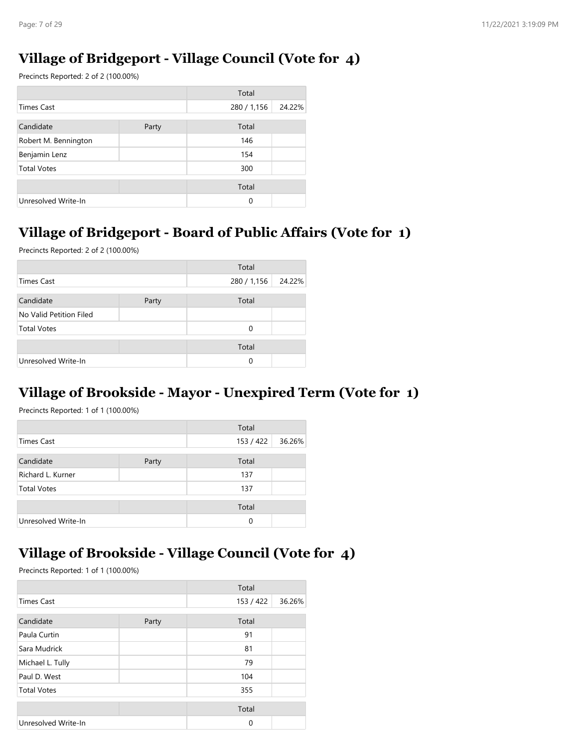## **Village of Bridgeport - Village Council (Vote for 4)**

Precincts Reported: 2 of 2 (100.00%)

|                      |       | Total       |        |
|----------------------|-------|-------------|--------|
| Times Cast           |       | 280 / 1,156 | 24.22% |
| Candidate            |       | Total       |        |
|                      | Party |             |        |
| Robert M. Bennington |       | 146         |        |
| Benjamin Lenz        |       | 154         |        |
| <b>Total Votes</b>   |       | 300         |        |
|                      |       | Total       |        |
| Unresolved Write-In  |       | $\Omega$    |        |

### **Village of Bridgeport - Board of Public Affairs (Vote for 1)**

Precincts Reported: 2 of 2 (100.00%)

|                         |       | Total       |        |
|-------------------------|-------|-------------|--------|
| <b>Times Cast</b>       |       | 280 / 1,156 | 24.22% |
|                         |       |             |        |
| Candidate               | Party | Total       |        |
| No Valid Petition Filed |       |             |        |
| <b>Total Votes</b>      |       | 0           |        |
|                         |       | Total       |        |
|                         |       |             |        |
| Unresolved Write-In     |       | 0           |        |

### **Village of Brookside - Mayor - Unexpired Term (Vote for 1)**

Precincts Reported: 1 of 1 (100.00%)

|                     |       | Total     |        |
|---------------------|-------|-----------|--------|
| Times Cast          |       | 153 / 422 | 36.26% |
| Candidate           | Party | Total     |        |
| Richard L. Kurner   |       | 137       |        |
| <b>Total Votes</b>  |       | 137       |        |
|                     |       | Total     |        |
| Unresolved Write-In |       | $\Omega$  |        |

# **Village of Brookside - Village Council (Vote for 4)**

|                     |       | Total     |        |
|---------------------|-------|-----------|--------|
| <b>Times Cast</b>   |       | 153 / 422 | 36.26% |
| Candidate           | Party | Total     |        |
| Paula Curtin        |       | 91        |        |
| Sara Mudrick        |       | 81        |        |
| Michael L. Tully    |       | 79        |        |
| Paul D. West        |       | 104       |        |
| <b>Total Votes</b>  |       | 355       |        |
|                     |       | Total     |        |
| Unresolved Write-In |       | $\Omega$  |        |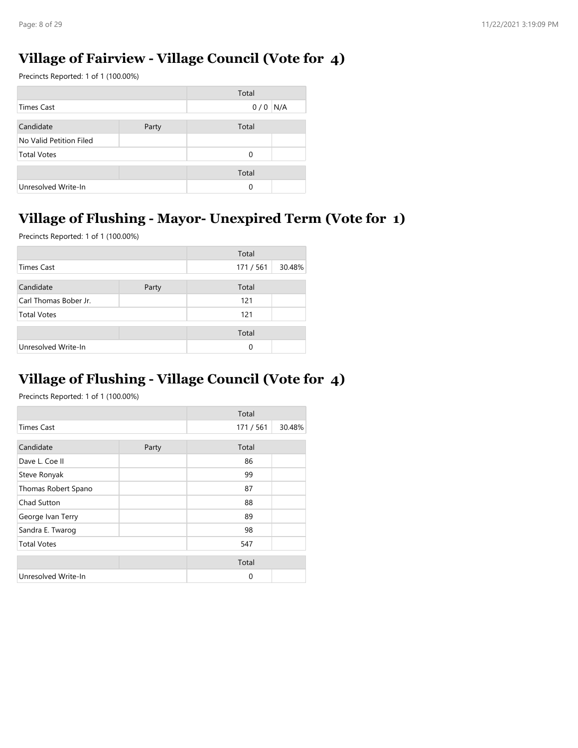### **Village of Fairview - Village Council (Vote for 4)**

Precincts Reported: 1 of 1 (100.00%)

|                         |       | Total |     |
|-------------------------|-------|-------|-----|
| Times Cast              |       | 0/0   | N/A |
|                         |       |       |     |
| Candidate               | Party | Total |     |
| No Valid Petition Filed |       |       |     |
| <b>Total Votes</b>      |       | 0     |     |
|                         |       |       |     |
|                         |       | Total |     |
| Unresolved Write-In     |       | 0     |     |

## **Village of Flushing - Mayor- Unexpired Term (Vote for 1)**

Precincts Reported: 1 of 1 (100.00%)

|                       |       | Total    |        |
|-----------------------|-------|----------|--------|
| <b>Times Cast</b>     |       | 171/561  | 30.48% |
| Candidate             | Party | Total    |        |
| Carl Thomas Bober Jr. |       | 121      |        |
| <b>Total Votes</b>    |       | 121      |        |
|                       |       | Total    |        |
| Unresolved Write-In   |       | $\Omega$ |        |

## **Village of Flushing - Village Council (Vote for 4)**

|                     |       | Total    |        |
|---------------------|-------|----------|--------|
| <b>Times Cast</b>   |       | 171/561  | 30.48% |
| Candidate           | Party | Total    |        |
| Dave L. Coe II      |       | 86       |        |
| Steve Ronyak        |       | 99       |        |
| Thomas Robert Spano |       | 87       |        |
| Chad Sutton         |       | 88       |        |
| George Ivan Terry   |       | 89       |        |
| Sandra E. Twarog    |       | 98       |        |
| <b>Total Votes</b>  |       | 547      |        |
|                     |       | Total    |        |
| Unresolved Write-In |       | $\Omega$ |        |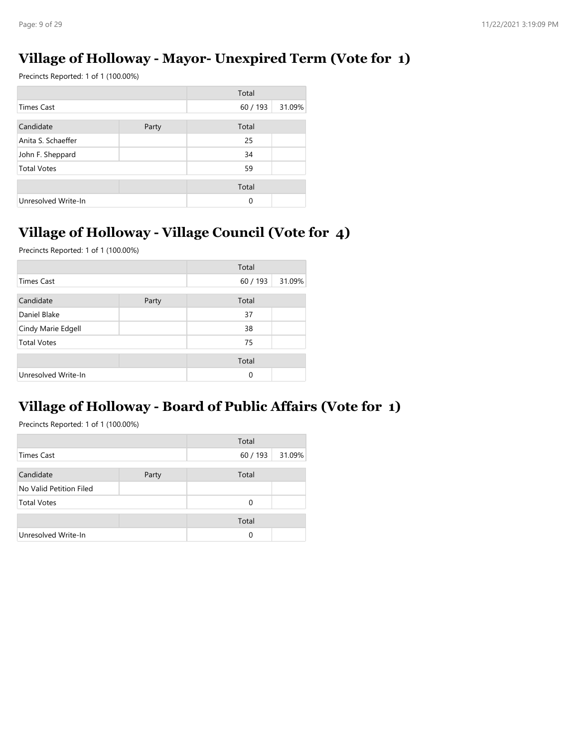## **Village of Holloway - Mayor- Unexpired Term (Vote for 1)**

Precincts Reported: 1 of 1 (100.00%)

|                     |       | Total    |        |
|---------------------|-------|----------|--------|
| <b>Times Cast</b>   |       | 60/193   | 31.09% |
| Candidate           | Party | Total    |        |
| Anita S. Schaeffer  |       | 25       |        |
| John F. Sheppard    |       | 34       |        |
| <b>Total Votes</b>  |       | 59       |        |
|                     |       | Total    |        |
| Unresolved Write-In |       | $\Omega$ |        |

## **Village of Holloway - Village Council (Vote for 4)**

Precincts Reported: 1 of 1 (100.00%)

|                     |       | Total  |        |
|---------------------|-------|--------|--------|
| <b>Times Cast</b>   |       | 60/193 | 31.09% |
| Candidate           | Party | Total  |        |
| Daniel Blake        |       | 37     |        |
| Cindy Marie Edgell  |       | 38     |        |
| <b>Total Votes</b>  |       | 75     |        |
|                     |       | Total  |        |
| Unresolved Write-In |       | 0      |        |

## **Village of Holloway - Board of Public Affairs (Vote for 1)**

|                         |       | Total  |        |
|-------------------------|-------|--------|--------|
| Times Cast              |       | 60/193 | 31.09% |
|                         |       |        |        |
| Candidate               | Party | Total  |        |
| No Valid Petition Filed |       |        |        |
| <b>Total Votes</b>      |       | 0      |        |
|                         |       |        |        |
|                         |       | Total  |        |
| Unresolved Write-In     |       | 0      |        |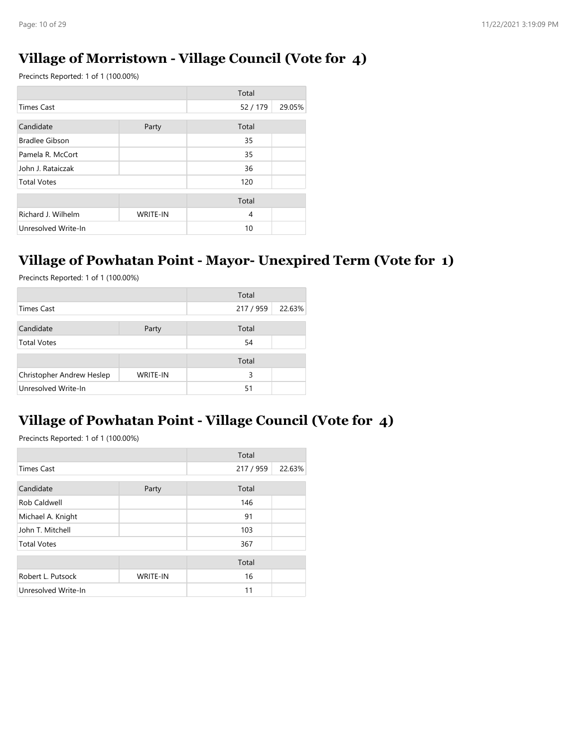### **Village of Morristown - Village Council (Vote for 4)**

Precincts Reported: 1 of 1 (100.00%)

|                       |                 | Total          |        |
|-----------------------|-----------------|----------------|--------|
| <b>Times Cast</b>     |                 | 52 / 179       | 29.05% |
| Candidate             | Party           | Total          |        |
| <b>Bradlee Gibson</b> |                 | 35             |        |
| Pamela R. McCort      |                 | 35             |        |
| John J. Rataiczak     |                 | 36             |        |
| <b>Total Votes</b>    |                 | 120            |        |
|                       |                 | Total          |        |
| Richard J. Wilhelm    | <b>WRITE-IN</b> | $\overline{4}$ |        |
| Unresolved Write-In   |                 | 10             |        |

#### **Village of Powhatan Point - Mayor- Unexpired Term (Vote for 1)**

Precincts Reported: 1 of 1 (100.00%)

|                           |                 | Total     |        |
|---------------------------|-----------------|-----------|--------|
| <b>Times Cast</b>         |                 | 217 / 959 | 22.63% |
| Candidate                 | Party           | Total     |        |
| <b>Total Votes</b>        |                 | 54        |        |
|                           |                 | Total     |        |
| Christopher Andrew Heslep | <b>WRITE-IN</b> | 3         |        |
| Unresolved Write-In       |                 | 51        |        |

### **Village of Powhatan Point - Village Council (Vote for 4)**

|                     |                 | Total     |        |
|---------------------|-----------------|-----------|--------|
| <b>Times Cast</b>   |                 | 217 / 959 | 22.63% |
| Candidate           | Party           | Total     |        |
| Rob Caldwell        |                 | 146       |        |
| Michael A. Knight   |                 | 91        |        |
| John T. Mitchell    |                 | 103       |        |
| <b>Total Votes</b>  |                 | 367       |        |
|                     |                 | Total     |        |
| Robert L. Putsock   | <b>WRITE-IN</b> | 16        |        |
| Unresolved Write-In |                 | 11        |        |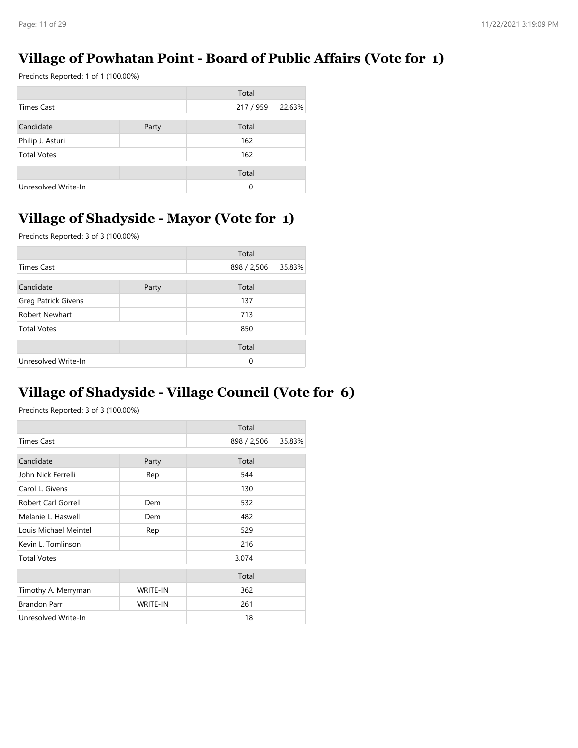### **Village of Powhatan Point - Board of Public Affairs (Vote for 1)**

Precincts Reported: 1 of 1 (100.00%)

|                     |       | Total     |        |
|---------------------|-------|-----------|--------|
| <b>Times Cast</b>   |       | 217 / 959 | 22.63% |
| Candidate           | Party | Total     |        |
| Philip J. Asturi    |       | 162       |        |
| <b>Total Votes</b>  |       | 162       |        |
|                     |       | Total     |        |
| Unresolved Write-In |       | 0         |        |

## **Village of Shadyside - Mayor (Vote for 1)**

Precincts Reported: 3 of 3 (100.00%)

|                     |       | Total       |        |
|---------------------|-------|-------------|--------|
| <b>Times Cast</b>   |       | 898 / 2,506 | 35.83% |
| Candidate           | Party | Total       |        |
| Greg Patrick Givens |       | 137         |        |
| Robert Newhart      |       | 713         |        |
| <b>Total Votes</b>  |       | 850         |        |
|                     |       | Total       |        |
| Unresolved Write-In |       | 0           |        |

## **Village of Shadyside - Village Council (Vote for 6)**

|                       |                 | Total       |        |
|-----------------------|-----------------|-------------|--------|
| <b>Times Cast</b>     |                 | 898 / 2,506 | 35.83% |
| Candidate             | Party           | Total       |        |
| John Nick Ferrelli    | Rep             | 544         |        |
| Carol L. Givens       |                 | 130         |        |
| Robert Carl Gorrell   | Dem             | 532         |        |
| Melanie L. Haswell    | Dem             | 482         |        |
| Louis Michael Meintel | Rep             | 529         |        |
| Kevin L. Tomlinson    |                 | 216         |        |
| <b>Total Votes</b>    |                 | 3,074       |        |
|                       |                 | Total       |        |
| Timothy A. Merryman   | <b>WRITE-IN</b> | 362         |        |
| <b>Brandon Parr</b>   | <b>WRITE-IN</b> | 261         |        |
| Unresolved Write-In   |                 | 18          |        |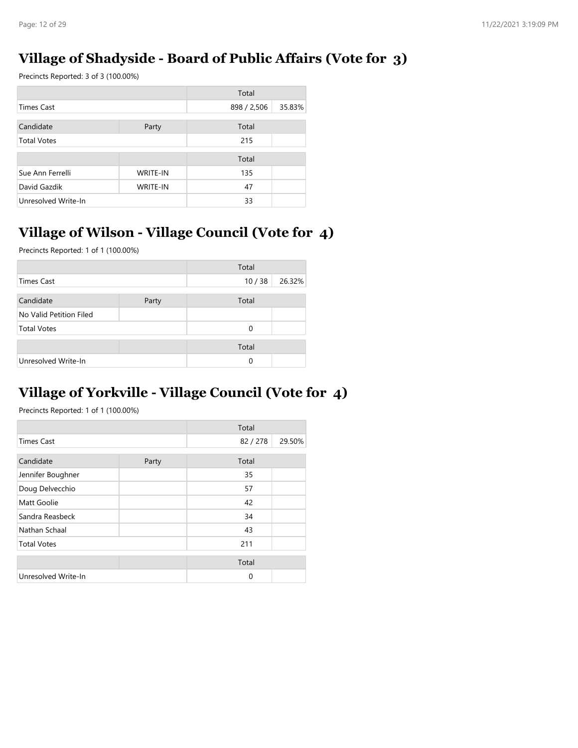### **Village of Shadyside - Board of Public Affairs (Vote for 3)**

Precincts Reported: 3 of 3 (100.00%)

|                     |                 | Total       |        |
|---------------------|-----------------|-------------|--------|
| <b>Times Cast</b>   |                 | 898 / 2,506 | 35.83% |
| Candidate           | Party           | Total       |        |
| <b>Total Votes</b>  |                 | 215         |        |
|                     |                 | Total       |        |
| Sue Ann Ferrelli    | <b>WRITE-IN</b> | 135         |        |
| David Gazdik        | <b>WRITE-IN</b> | 47          |        |
| Unresolved Write-In |                 | 33          |        |

# **Village of Wilson - Village Council (Vote for 4)**

Precincts Reported: 1 of 1 (100.00%)

|                         |       | Total |        |
|-------------------------|-------|-------|--------|
| <b>Times Cast</b>       |       | 10/38 | 26.32% |
| Candidate               | Party | Total |        |
| No Valid Petition Filed |       |       |        |
| <b>Total Votes</b>      |       | 0     |        |
|                         |       | Total |        |
| Unresolved Write-In     |       | 0     |        |

### **Village of Yorkville - Village Council (Vote for 4)**

|                     |       | Total  |        |
|---------------------|-------|--------|--------|
| <b>Times Cast</b>   |       | 82/278 | 29.50% |
| Candidate           | Party | Total  |        |
| Jennifer Boughner   |       | 35     |        |
| Doug Delvecchio     |       | 57     |        |
| Matt Goolie         |       | 42     |        |
| Sandra Reasbeck     |       | 34     |        |
| Nathan Schaal       |       | 43     |        |
| <b>Total Votes</b>  |       | 211    |        |
|                     |       | Total  |        |
| Unresolved Write-In |       | 0      |        |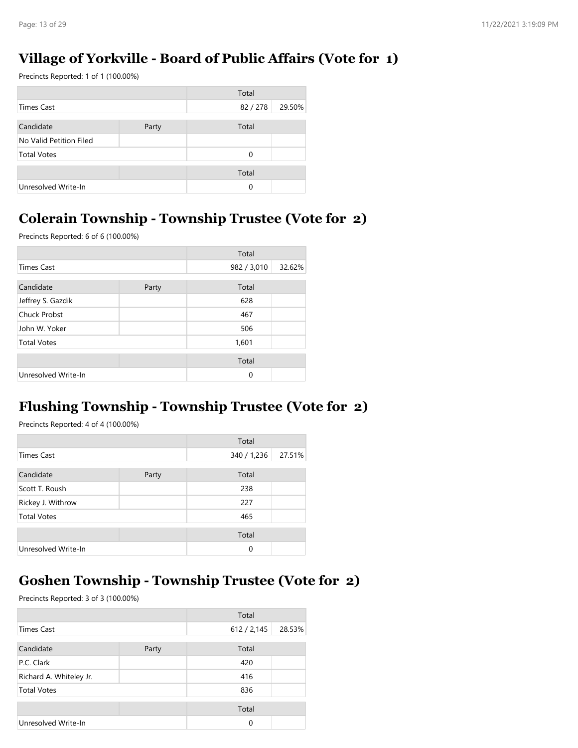### **Village of Yorkville - Board of Public Affairs (Vote for 1)**

Precincts Reported: 1 of 1 (100.00%)

|                         |       | Total  |        |
|-------------------------|-------|--------|--------|
| Times Cast              |       | 82/278 | 29.50% |
| Candidate               | Party | Total  |        |
| No Valid Petition Filed |       |        |        |
| <b>Total Votes</b>      |       | 0      |        |
|                         |       | Total  |        |
|                         |       |        |        |
| Unresolved Write-In     |       | 0      |        |

### **Colerain Township - Township Trustee (Vote for 2)**

Precincts Reported: 6 of 6 (100.00%)

|                     |       | Total       |        |
|---------------------|-------|-------------|--------|
| <b>Times Cast</b>   |       | 982 / 3,010 | 32.62% |
| Candidate           | Party | Total       |        |
| Jeffrey S. Gazdik   |       | 628         |        |
| <b>Chuck Probst</b> |       | 467         |        |
| John W. Yoker       |       | 506         |        |
| <b>Total Votes</b>  |       | 1,601       |        |
|                     |       | Total       |        |
| Unresolved Write-In |       | 0           |        |

### **Flushing Township - Township Trustee (Vote for 2)**

Precincts Reported: 4 of 4 (100.00%)

|                     |       | Total       |        |
|---------------------|-------|-------------|--------|
| Times Cast          |       | 340 / 1,236 | 27.51% |
| Candidate           | Party | Total       |        |
| Scott T. Roush      |       | 238         |        |
| Rickey J. Withrow   |       | 227         |        |
| <b>Total Votes</b>  |       | 465         |        |
|                     |       | Total       |        |
| Unresolved Write-In |       | 0           |        |

### **Goshen Township - Township Trustee (Vote for 2)**

|                         |       | Total       |        |
|-------------------------|-------|-------------|--------|
| <b>Times Cast</b>       |       | 612 / 2,145 | 28.53% |
| Candidate               | Party | Total       |        |
| P.C. Clark              |       | 420         |        |
| Richard A. Whiteley Jr. |       | 416         |        |
| <b>Total Votes</b>      |       | 836         |        |
|                         |       | Total       |        |
| Unresolved Write-In     |       | $\Omega$    |        |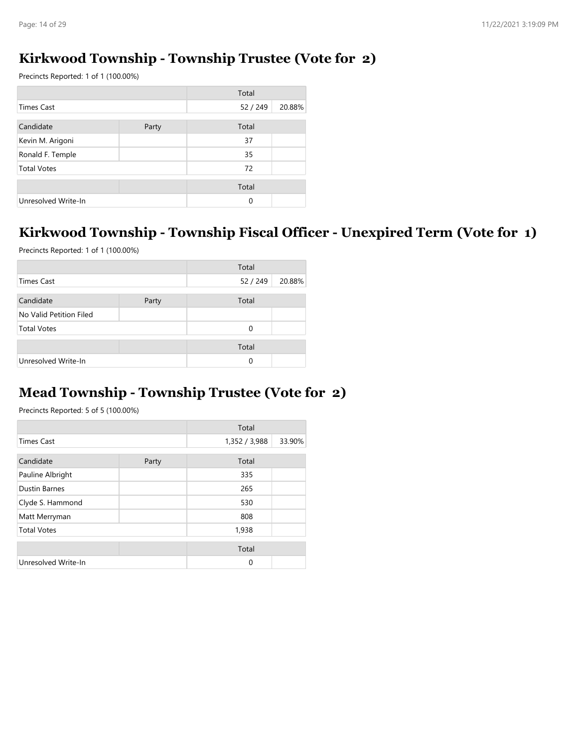### **Kirkwood Township - Township Trustee (Vote for 2)**

Precincts Reported: 1 of 1 (100.00%)

|                     |       | Total    |        |
|---------------------|-------|----------|--------|
| <b>Times Cast</b>   |       | 52 / 249 | 20.88% |
| Candidate           | Party | Total    |        |
| Kevin M. Arigoni    |       | 37       |        |
| Ronald F. Temple    |       | 35       |        |
| <b>Total Votes</b>  |       | 72       |        |
|                     |       | Total    |        |
| Unresolved Write-In |       | $\Omega$ |        |

# **Kirkwood Township - Township Fiscal Officer - Unexpired Term (Vote for 1)**

Precincts Reported: 1 of 1 (100.00%)

|                         |       | Total  |        |
|-------------------------|-------|--------|--------|
| Times Cast              |       | 52/249 | 20.88% |
| Candidate               | Party | Total  |        |
| No Valid Petition Filed |       |        |        |
| <b>Total Votes</b>      |       | 0      |        |
|                         |       | Total  |        |
| Unresolved Write-In     |       | 0      |        |

### **Mead Township - Township Trustee (Vote for 2)**

|                      |       | Total         |        |
|----------------------|-------|---------------|--------|
| <b>Times Cast</b>    |       | 1,352 / 3,988 | 33.90% |
| Candidate            | Party | Total         |        |
| Pauline Albright     |       | 335           |        |
| <b>Dustin Barnes</b> |       | 265           |        |
| Clyde S. Hammond     |       | 530           |        |
| Matt Merryman        |       | 808           |        |
| <b>Total Votes</b>   |       | 1,938         |        |
|                      |       | Total         |        |
| Unresolved Write-In  |       | $\Omega$      |        |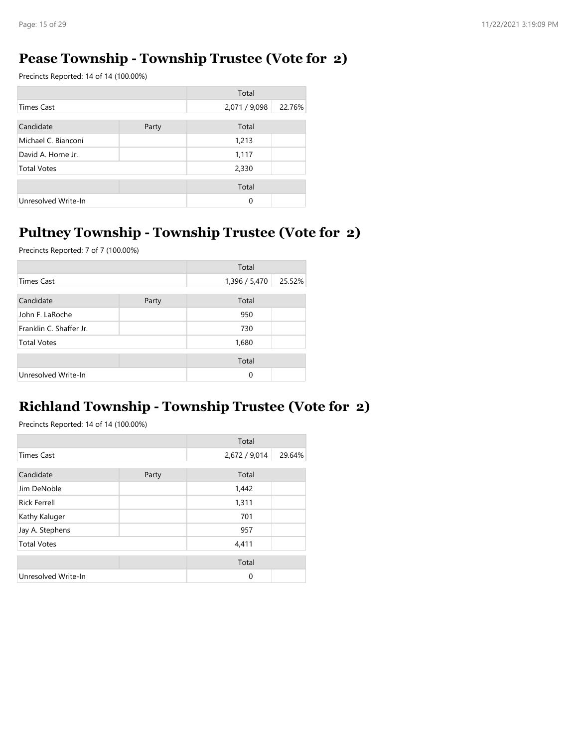### **Pease Township - Township Trustee (Vote for 2)**

Precincts Reported: 14 of 14 (100.00%)

|                     |       | Total         |        |
|---------------------|-------|---------------|--------|
| <b>Times Cast</b>   |       | 2,071 / 9,098 | 22.76% |
| Candidate           | Party | Total         |        |
| Michael C. Bianconi |       | 1,213         |        |
| David A. Horne Jr.  |       | 1,117         |        |
| <b>Total Votes</b>  |       | 2,330         |        |
|                     |       | Total         |        |
| Unresolved Write-In |       | 0             |        |

## **Pultney Township - Township Trustee (Vote for 2)**

Precincts Reported: 7 of 7 (100.00%)

|                         |       | Total         |        |
|-------------------------|-------|---------------|--------|
| Times Cast              |       | 1,396 / 5,470 | 25.52% |
| Candidate               | Party | Total         |        |
| John F. LaRoche         |       | 950           |        |
| Franklin C. Shaffer Jr. |       | 730           |        |
| <b>Total Votes</b>      |       | 1,680         |        |
|                         |       | Total         |        |
| Unresolved Write-In     |       | 0             |        |

## **Richland Township - Township Trustee (Vote for 2)**

|                     |       | Total         |        |
|---------------------|-------|---------------|--------|
| <b>Times Cast</b>   |       | 2,672 / 9,014 | 29.64% |
| Candidate           | Party | Total         |        |
| Jim DeNoble         |       | 1,442         |        |
| <b>Rick Ferrell</b> |       | 1,311         |        |
| Kathy Kaluger       |       | 701           |        |
| Jay A. Stephens     |       | 957           |        |
| <b>Total Votes</b>  |       | 4,411         |        |
|                     |       | Total         |        |
| Unresolved Write-In |       | $\mathbf 0$   |        |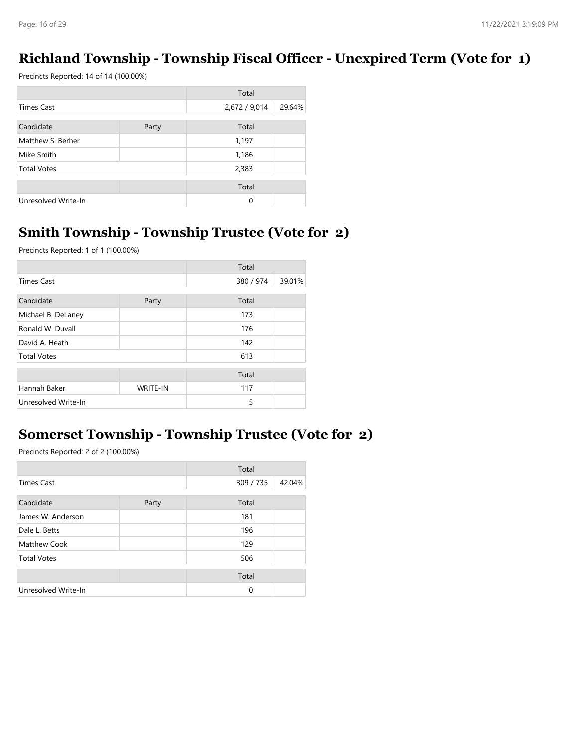### **Richland Township - Township Fiscal Officer - Unexpired Term (Vote for 1)**

Precincts Reported: 14 of 14 (100.00%)

|                     |       | Total         |        |
|---------------------|-------|---------------|--------|
| Times Cast          |       | 2,672 / 9,014 | 29.64% |
| Candidate           | Party | Total         |        |
| Matthew S. Berher   |       | 1,197         |        |
| Mike Smith          |       | 1,186         |        |
| <b>Total Votes</b>  |       | 2,383         |        |
|                     |       | Total         |        |
| Unresolved Write-In |       | $\Omega$      |        |

## **Smith Township - Township Trustee (Vote for 2)**

Precincts Reported: 1 of 1 (100.00%)

|                     |                 | Total     |        |
|---------------------|-----------------|-----------|--------|
| <b>Times Cast</b>   |                 | 380 / 974 | 39.01% |
| Candidate           | Party           | Total     |        |
| Michael B. DeLaney  |                 | 173       |        |
| Ronald W. Duvall    |                 | 176       |        |
| David A. Heath      |                 | 142       |        |
| <b>Total Votes</b>  |                 | 613       |        |
|                     |                 | Total     |        |
| Hannah Baker        | <b>WRITE-IN</b> | 117       |        |
| Unresolved Write-In |                 | 5         |        |

### **Somerset Township - Township Trustee (Vote for 2)**

|                     |       | Total     |        |
|---------------------|-------|-----------|--------|
| <b>Times Cast</b>   |       | 309 / 735 | 42.04% |
| Candidate           | Party | Total     |        |
| James W. Anderson   |       | 181       |        |
| Dale L. Betts       |       | 196       |        |
| Matthew Cook        |       | 129       |        |
| <b>Total Votes</b>  |       | 506       |        |
|                     |       | Total     |        |
| Unresolved Write-In |       | $\Omega$  |        |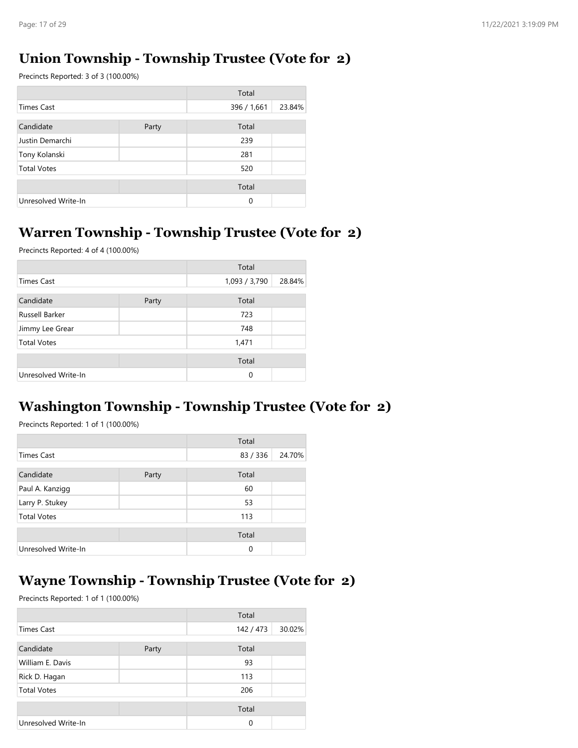### **Union Township - Township Trustee (Vote for 2)**

Precincts Reported: 3 of 3 (100.00%)

|                     |       | Total       |        |
|---------------------|-------|-------------|--------|
| <b>Times Cast</b>   |       | 396 / 1,661 | 23.84% |
| Candidate           | Party | Total       |        |
| Justin Demarchi     |       | 239         |        |
| Tony Kolanski       |       | 281         |        |
| <b>Total Votes</b>  |       | 520         |        |
|                     |       | Total       |        |
| Unresolved Write-In |       | $\Omega$    |        |

## **Warren Township - Township Trustee (Vote for 2)**

Precincts Reported: 4 of 4 (100.00%)

|                     |       | Total         |        |
|---------------------|-------|---------------|--------|
| Times Cast          |       | 1,093 / 3,790 | 28.84% |
| Candidate           | Party | Total         |        |
| Russell Barker      |       | 723           |        |
| Jimmy Lee Grear     |       | 748           |        |
| <b>Total Votes</b>  |       | 1,471         |        |
|                     |       | Total         |        |
| Unresolved Write-In |       | 0             |        |

### **Washington Township - Township Trustee (Vote for 2)**

Precincts Reported: 1 of 1 (100.00%)

|                     |       | Total  |        |
|---------------------|-------|--------|--------|
| <b>Times Cast</b>   |       | 83/336 | 24.70% |
| Candidate           | Party | Total  |        |
| Paul A. Kanzigg     |       | 60     |        |
| Larry P. Stukey     |       | 53     |        |
| <b>Total Votes</b>  |       | 113    |        |
|                     |       | Total  |        |
| Unresolved Write-In |       | 0      |        |

### **Wayne Township - Township Trustee (Vote for 2)**

|                     |       | Total     |        |
|---------------------|-------|-----------|--------|
| <b>Times Cast</b>   |       | 142 / 473 | 30.02% |
| Candidate           | Party | Total     |        |
| William E. Davis    |       | 93        |        |
| Rick D. Hagan       |       | 113       |        |
| <b>Total Votes</b>  |       | 206       |        |
|                     |       | Total     |        |
| Unresolved Write-In |       | $\Omega$  |        |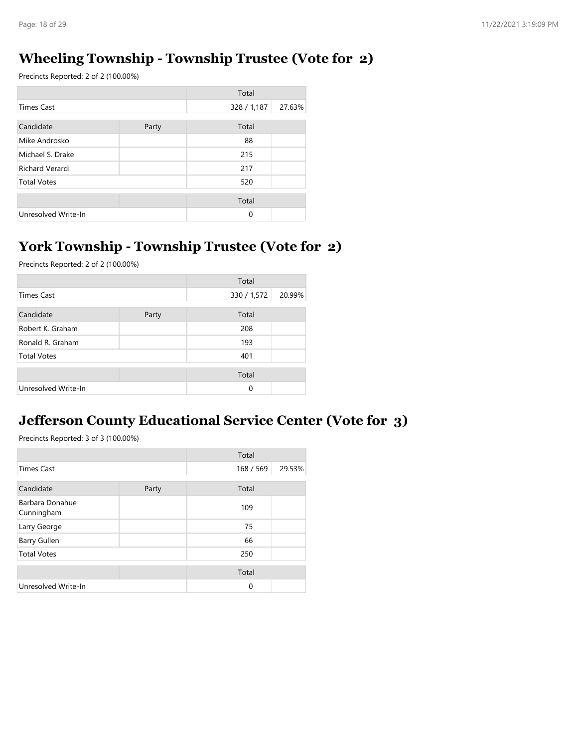### **Wheeling Township - Township Trustee (Vote for 2)**

Precincts Reported: 2 of 2 (100.00%)

|                     |       | Total       |        |
|---------------------|-------|-------------|--------|
| <b>Times Cast</b>   |       | 328 / 1,187 | 27.63% |
| Candidate           | Party | Total       |        |
| Mike Androsko       |       | 88          |        |
| Michael S. Drake    |       | 215         |        |
| Richard Verardi     |       | 217         |        |
| <b>Total Votes</b>  |       | 520         |        |
|                     |       | Total       |        |
| Unresolved Write-In |       | $\Omega$    |        |

### **York Township - Township Trustee (Vote for 2)**

Precincts Reported: 2 of 2 (100.00%)

|                     |       | Total       |        |
|---------------------|-------|-------------|--------|
| <b>Times Cast</b>   |       | 330 / 1,572 | 20.99% |
| Candidate           | Party | Total       |        |
| Robert K. Graham    |       | 208         |        |
| Ronald R. Graham    |       | 193         |        |
| <b>Total Votes</b>  |       | 401         |        |
|                     |       | Total       |        |
| Unresolved Write-In |       | $\Omega$    |        |

### **Jefferson County Educational Service Center (Vote for 3)**

|                               |       | Total     |        |
|-------------------------------|-------|-----------|--------|
| <b>Times Cast</b>             |       | 168 / 569 | 29.53% |
| Candidate                     | Party | Total     |        |
| Barbara Donahue<br>Cunningham |       | 109       |        |
| Larry George                  |       | 75        |        |
| Barry Gullen                  |       | 66        |        |
| <b>Total Votes</b>            |       | 250       |        |
|                               |       | Total     |        |
| Unresolved Write-In           |       | 0         |        |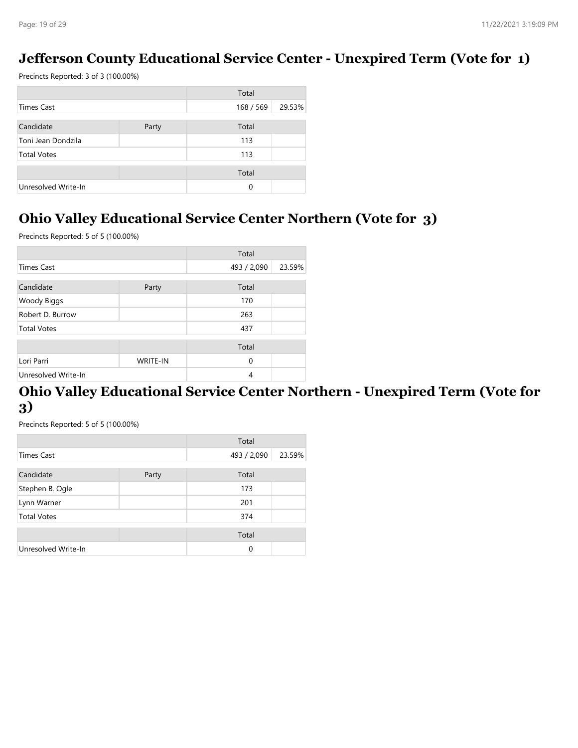### **Jefferson County Educational Service Center - Unexpired Term (Vote for 1)**

Precincts Reported: 3 of 3 (100.00%)

|                     |       | Total     |        |
|---------------------|-------|-----------|--------|
| Times Cast          |       | 168 / 569 | 29.53% |
| Candidate           | Party | Total     |        |
| Toni Jean Dondzila  |       | 113       |        |
| <b>Total Votes</b>  |       | 113       |        |
|                     |       | Total     |        |
| Unresolved Write-In |       | 0         |        |

### **Ohio Valley Educational Service Center Northern (Vote for 3)**

Precincts Reported: 5 of 5 (100.00%)

|                     |          | Total       |        |
|---------------------|----------|-------------|--------|
| <b>Times Cast</b>   |          | 493 / 2,090 | 23.59% |
| Candidate           | Party    | Total       |        |
| Woody Biggs         |          | 170         |        |
| Robert D. Burrow    |          | 263         |        |
| <b>Total Votes</b>  |          | 437         |        |
|                     |          | Total       |        |
| Lori Parri          | WRITE-IN | $\mathbf 0$ |        |
| Unresolved Write-In |          | 4           |        |

### **Ohio Valley Educational Service Center Northern - Unexpired Term (Vote for 3)**

|                     |       | Total       |        |
|---------------------|-------|-------------|--------|
| <b>Times Cast</b>   |       | 493 / 2,090 | 23.59% |
| Candidate           | Party | Total       |        |
| Stephen B. Ogle     |       | 173         |        |
| Lynn Warner         |       | 201         |        |
| <b>Total Votes</b>  |       | 374         |        |
|                     |       | Total       |        |
| Unresolved Write-In |       | 0           |        |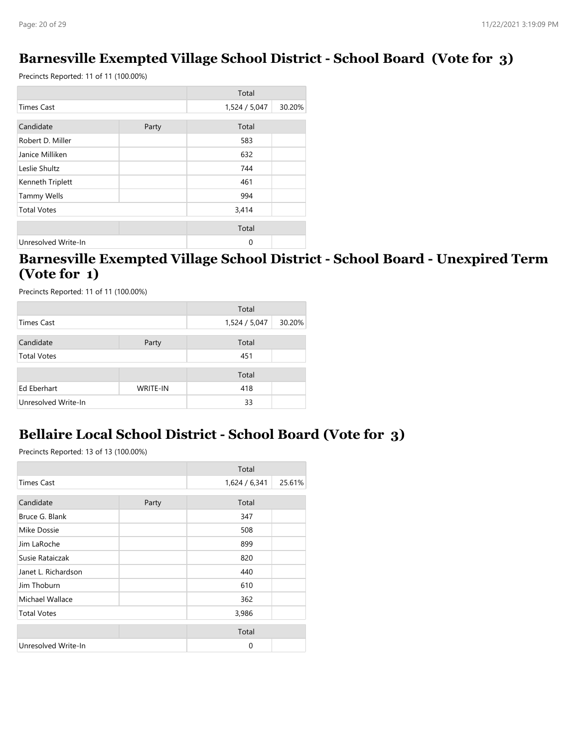### **Barnesville Exempted Village School District - School Board (Vote for 3)**

Precincts Reported: 11 of 11 (100.00%)

|                     |       | Total         |        |
|---------------------|-------|---------------|--------|
| <b>Times Cast</b>   |       | 1,524 / 5,047 | 30.20% |
| Candidate           | Party | Total         |        |
| Robert D. Miller    |       | 583           |        |
| Janice Milliken     |       | 632           |        |
| Leslie Shultz       |       | 744           |        |
| Kenneth Triplett    |       | 461           |        |
| <b>Tammy Wells</b>  |       | 994           |        |
| <b>Total Votes</b>  |       | 3,414         |        |
|                     |       | Total         |        |
| Unresolved Write-In |       | 0             |        |

### **Barnesville Exempted Village School District - School Board - Unexpired Term (Vote for 1)**

Precincts Reported: 11 of 11 (100.00%)

|                     |                 | Total         |        |
|---------------------|-----------------|---------------|--------|
| <b>Times Cast</b>   |                 | 1,524 / 5,047 | 30.20% |
| Candidate           | Party           | Total         |        |
|                     |                 |               |        |
| <b>Total Votes</b>  |                 | 451           |        |
|                     |                 | Total         |        |
| Ed Eberhart         | <b>WRITE-IN</b> | 418           |        |
| Unresolved Write-In |                 | 33            |        |

### **Bellaire Local School District - School Board (Vote for 3)**

|                     |       | Total         |        |
|---------------------|-------|---------------|--------|
| <b>Times Cast</b>   |       | 1,624 / 6,341 | 25.61% |
| Candidate           | Party | Total         |        |
| Bruce G. Blank      |       | 347           |        |
| Mike Dossie         |       | 508           |        |
| Jim LaRoche         |       | 899           |        |
| Susie Rataiczak     |       | 820           |        |
| Janet L. Richardson |       | 440           |        |
| Jim Thoburn         |       | 610           |        |
| Michael Wallace     |       | 362           |        |
| <b>Total Votes</b>  |       | 3,986         |        |
|                     |       | Total         |        |
| Unresolved Write-In |       | 0             |        |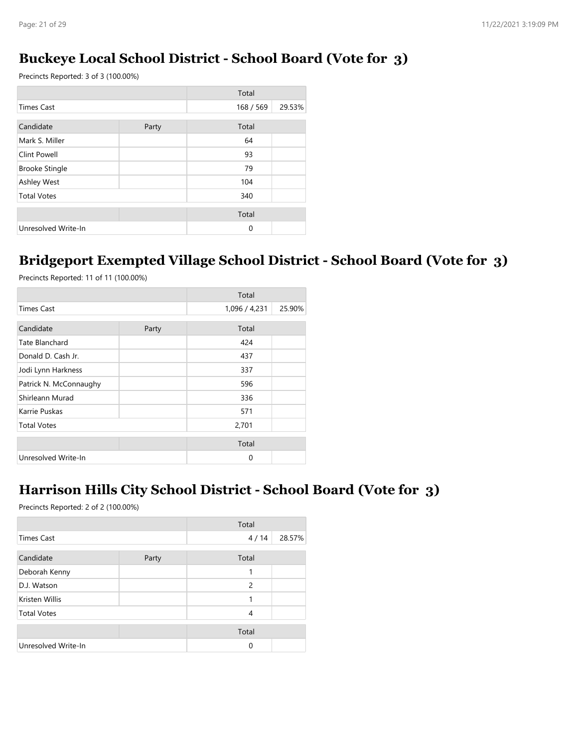### **Buckeye Local School District - School Board (Vote for 3)**

Precincts Reported: 3 of 3 (100.00%)

|                       |       | Total     |        |
|-----------------------|-------|-----------|--------|
| <b>Times Cast</b>     |       | 168 / 569 | 29.53% |
| Candidate             | Party | Total     |        |
| Mark S. Miller        |       | 64        |        |
| Clint Powell          |       | 93        |        |
| <b>Brooke Stingle</b> |       | 79        |        |
| Ashley West           |       | 104       |        |
| <b>Total Votes</b>    |       | 340       |        |
|                       |       | Total     |        |
| Unresolved Write-In   |       | $\Omega$  |        |

### **Bridgeport Exempted Village School District - School Board (Vote for 3)**

Precincts Reported: 11 of 11 (100.00%)

|                        |       | Total         |        |
|------------------------|-------|---------------|--------|
| <b>Times Cast</b>      |       | 1,096 / 4,231 | 25.90% |
| Candidate              | Party | Total         |        |
| Tate Blanchard         |       | 424           |        |
|                        |       |               |        |
| Donald D. Cash Jr.     |       | 437           |        |
| Jodi Lynn Harkness     |       | 337           |        |
| Patrick N. McConnaughy |       | 596           |        |
| Shirleann Murad        |       | 336           |        |
| Karrie Puskas          |       | 571           |        |
| <b>Total Votes</b>     |       | 2,701         |        |
|                        |       | Total         |        |
| Unresolved Write-In    |       | 0             |        |

### **Harrison Hills City School District - School Board (Vote for 3)**

|                     |       | Total |        |
|---------------------|-------|-------|--------|
| <b>Times Cast</b>   |       | 4/14  | 28.57% |
| Candidate           | Party | Total |        |
| Deborah Kenny       |       | 1     |        |
| D.J. Watson         |       | 2     |        |
| Kristen Willis      |       | 1     |        |
| <b>Total Votes</b>  |       | 4     |        |
|                     |       | Total |        |
| Unresolved Write-In |       | 0     |        |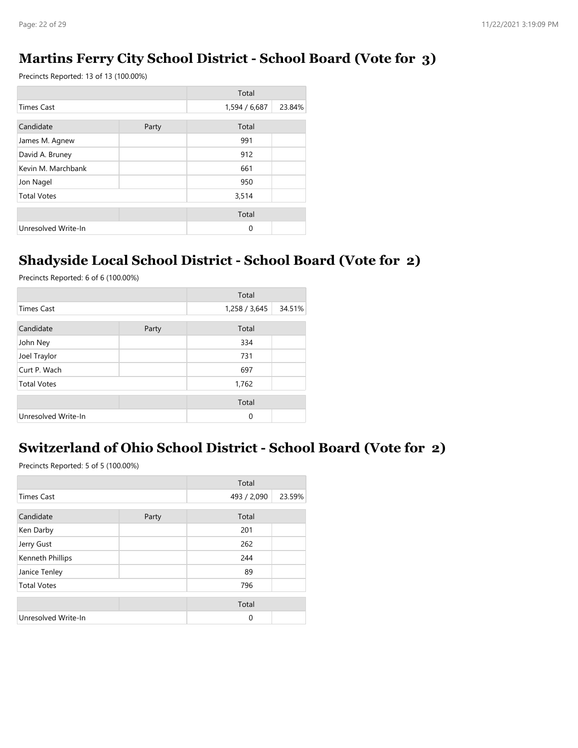### **Martins Ferry City School District - School Board (Vote for 3)**

Precincts Reported: 13 of 13 (100.00%)

|                     |       | Total         |        |
|---------------------|-------|---------------|--------|
| <b>Times Cast</b>   |       | 1,594 / 6,687 | 23.84% |
| Candidate           | Party | Total         |        |
| James M. Agnew      |       | 991           |        |
| David A. Bruney     |       | 912           |        |
| Kevin M. Marchbank  |       | 661           |        |
| Jon Nagel           |       | 950           |        |
| <b>Total Votes</b>  |       | 3,514         |        |
|                     |       | Total         |        |
| Unresolved Write-In |       | $\Omega$      |        |

### **Shadyside Local School District - School Board (Vote for 2)**

Precincts Reported: 6 of 6 (100.00%)

|                     |       | Total         |        |
|---------------------|-------|---------------|--------|
| <b>Times Cast</b>   |       | 1,258 / 3,645 | 34.51% |
| Candidate           | Party | Total         |        |
| John Ney            |       | 334           |        |
| Joel Traylor        |       | 731           |        |
| Curt P. Wach        |       | 697           |        |
| <b>Total Votes</b>  |       | 1,762         |        |
|                     |       | Total         |        |
| Unresolved Write-In |       | $\mathbf 0$   |        |

## **Switzerland of Ohio School District - School Board (Vote for 2)**

|                     |       | Total       |        |
|---------------------|-------|-------------|--------|
| <b>Times Cast</b>   |       | 493 / 2,090 | 23.59% |
| Candidate           | Party | Total       |        |
| Ken Darby           |       | 201         |        |
| Jerry Gust          |       | 262         |        |
| Kenneth Phillips    |       | 244         |        |
| Janice Tenley       |       | 89          |        |
| <b>Total Votes</b>  |       | 796         |        |
|                     |       | Total       |        |
| Unresolved Write-In |       | 0           |        |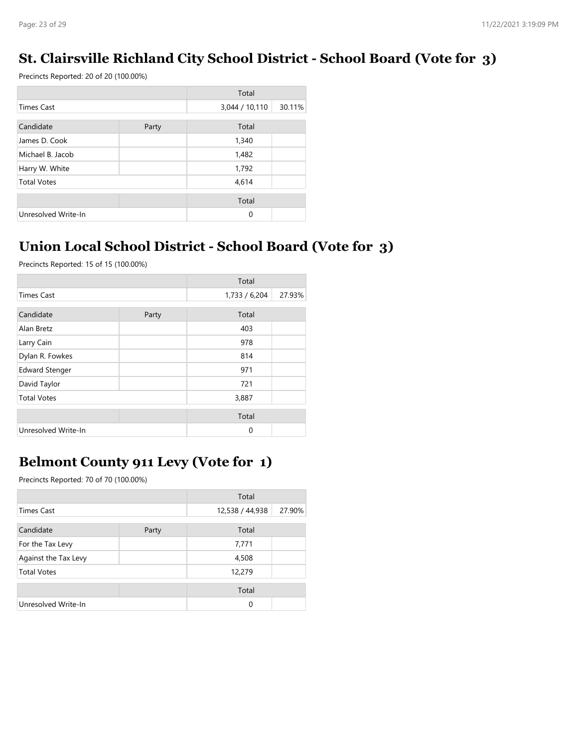## **St. Clairsville Richland City School District - School Board (Vote for 3)**

Precincts Reported: 20 of 20 (100.00%)

|                     |       | Total          |        |
|---------------------|-------|----------------|--------|
| <b>Times Cast</b>   |       | 3,044 / 10,110 | 30.11% |
| Candidate           | Party | Total          |        |
| James D. Cook       |       | 1,340          |        |
| Michael B. Jacob    |       | 1,482          |        |
| Harry W. White      |       | 1,792          |        |
| <b>Total Votes</b>  |       | 4,614          |        |
|                     |       | Total          |        |
| Unresolved Write-In |       | $\Omega$       |        |

## **Union Local School District - School Board (Vote for 3)**

Precincts Reported: 15 of 15 (100.00%)

|                       |       | Total         |        |
|-----------------------|-------|---------------|--------|
| <b>Times Cast</b>     |       | 1,733 / 6,204 | 27.93% |
| Candidate             | Party | Total         |        |
| Alan Bretz            |       | 403           |        |
| Larry Cain            |       | 978           |        |
| Dylan R. Fowkes       |       | 814           |        |
| <b>Edward Stenger</b> |       | 971           |        |
| David Taylor          |       | 721           |        |
| <b>Total Votes</b>    |       | 3,887         |        |
|                       |       | Total         |        |
| Unresolved Write-In   |       | $\Omega$      |        |

### **Belmont County 911 Levy (Vote for 1)**

|                      |       | Total           |        |
|----------------------|-------|-----------------|--------|
| <b>Times Cast</b>    |       | 12,538 / 44,938 | 27.90% |
| Candidate            | Party | Total           |        |
| For the Tax Levy     |       | 7,771           |        |
| Against the Tax Levy |       | 4,508           |        |
| <b>Total Votes</b>   |       | 12,279          |        |
|                      |       | Total           |        |
| Unresolved Write-In  |       | $\Omega$        |        |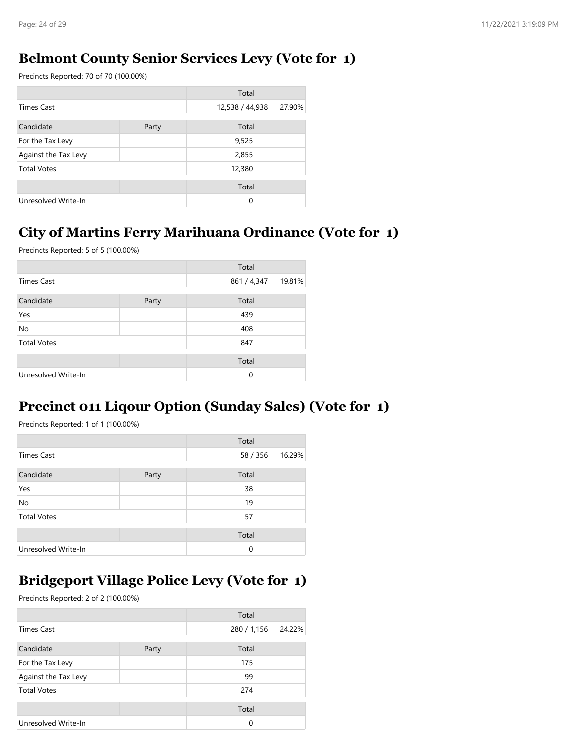## **Belmont County Senior Services Levy (Vote for 1)**

Precincts Reported: 70 of 70 (100.00%)

|                      |       | Total           |        |
|----------------------|-------|-----------------|--------|
| <b>Times Cast</b>    |       | 12,538 / 44,938 | 27.90% |
| Candidate            | Party | Total           |        |
| For the Tax Levy     |       | 9,525           |        |
| Against the Tax Levy |       | 2,855           |        |
| <b>Total Votes</b>   |       | 12,380          |        |
|                      |       | Total           |        |
| Unresolved Write-In  |       | $\Omega$        |        |

### **City of Martins Ferry Marihuana Ordinance (Vote for 1)**

Precincts Reported: 5 of 5 (100.00%)

|                     |       | Total       |        |
|---------------------|-------|-------------|--------|
| Times Cast          |       | 861 / 4,347 | 19.81% |
| Candidate           | Party | Total       |        |
| Yes                 |       | 439         |        |
| No                  |       | 408         |        |
| <b>Total Votes</b>  |       | 847         |        |
|                     |       | Total       |        |
| Unresolved Write-In |       | 0           |        |

## **Precinct 011 Liqour Option (Sunday Sales) (Vote for 1)**

Precincts Reported: 1 of 1 (100.00%)

|                     |       | Total    |        |
|---------------------|-------|----------|--------|
| <b>Times Cast</b>   |       | 58 / 356 | 16.29% |
| Candidate           | Party | Total    |        |
| Yes                 |       | 38       |        |
| No                  |       | 19       |        |
| <b>Total Votes</b>  |       | 57       |        |
|                     |       | Total    |        |
| Unresolved Write-In |       | 0        |        |

## **Bridgeport Village Police Levy (Vote for 1)**

|                      |       | Total       |        |
|----------------------|-------|-------------|--------|
| Times Cast           |       | 280 / 1,156 | 24.22% |
| Candidate            | Party | Total       |        |
| For the Tax Levy     |       | 175         |        |
| Against the Tax Levy |       | 99          |        |
| <b>Total Votes</b>   |       | 274         |        |
|                      |       | Total       |        |
| Unresolved Write-In  |       | 0           |        |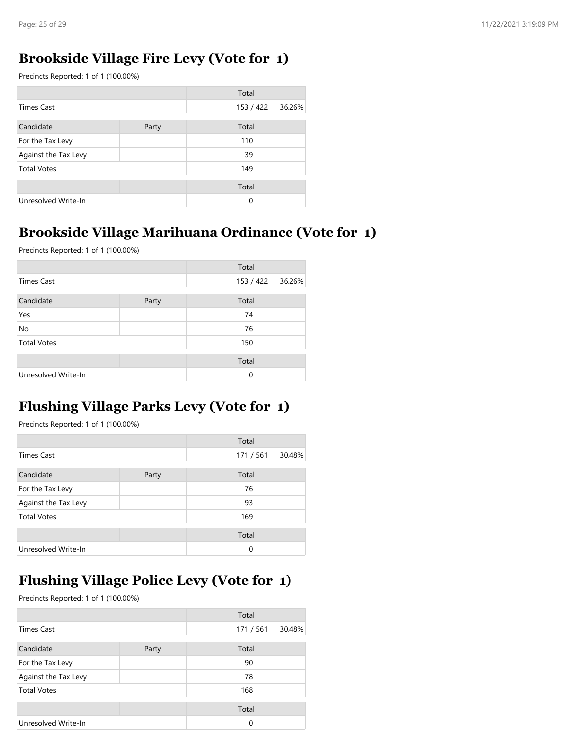### **Brookside Village Fire Levy (Vote for 1)**

Precincts Reported: 1 of 1 (100.00%)

|                      |       | Total     |        |
|----------------------|-------|-----------|--------|
| Times Cast           |       | 153 / 422 | 36.26% |
| Candidate            | Party | Total     |        |
| For the Tax Levy     |       | 110       |        |
| Against the Tax Levy |       | 39        |        |
| <b>Total Votes</b>   |       | 149       |        |
|                      |       | Total     |        |
| Unresolved Write-In  |       | $\Omega$  |        |

### **Brookside Village Marihuana Ordinance (Vote for 1)**

Precincts Reported: 1 of 1 (100.00%)

|                     |       | Total     |        |
|---------------------|-------|-----------|--------|
| <b>Times Cast</b>   |       | 153 / 422 | 36.26% |
| Candidate           | Party | Total     |        |
| Yes                 |       | 74        |        |
| No                  |       | 76        |        |
| <b>Total Votes</b>  |       | 150       |        |
|                     |       | Total     |        |
| Unresolved Write-In |       | $\Omega$  |        |

### **Flushing Village Parks Levy (Vote for 1)**

Precincts Reported: 1 of 1 (100.00%)

|                      |       | Total   |        |
|----------------------|-------|---------|--------|
| <b>Times Cast</b>    |       | 171/561 | 30.48% |
| Candidate            | Party | Total   |        |
| For the Tax Levy     |       | 76      |        |
| Against the Tax Levy |       | 93      |        |
| <b>Total Votes</b>   |       | 169     |        |
|                      |       | Total   |        |
| Unresolved Write-In  |       | 0       |        |

## **Flushing Village Police Levy (Vote for 1)**

|                      |       | Total   |        |
|----------------------|-------|---------|--------|
| <b>Times Cast</b>    |       | 171/561 | 30.48% |
| Candidate            | Party | Total   |        |
| For the Tax Levy     |       | 90      |        |
| Against the Tax Levy |       | 78      |        |
| <b>Total Votes</b>   |       | 168     |        |
|                      |       | Total   |        |
| Unresolved Write-In  |       | 0       |        |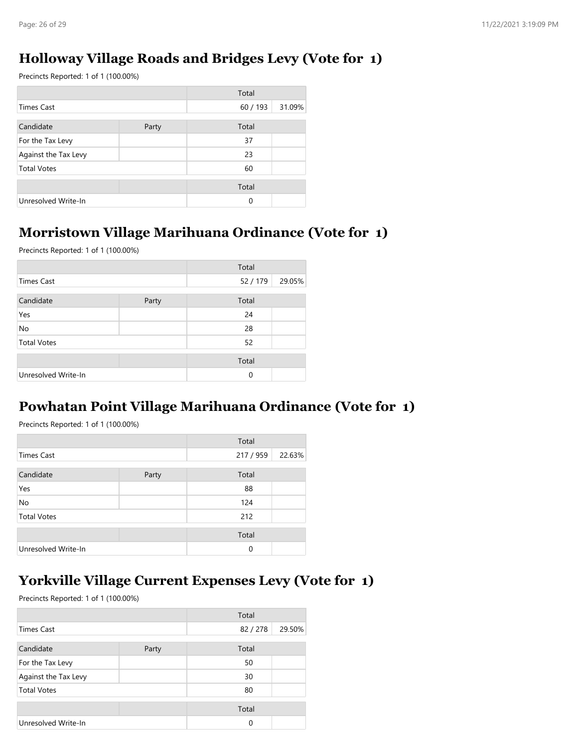### **Holloway Village Roads and Bridges Levy (Vote for 1)**

Precincts Reported: 1 of 1 (100.00%)

|                      |       | Total  |        |
|----------------------|-------|--------|--------|
| <b>Times Cast</b>    |       | 60/193 | 31.09% |
| Candidate            | Party | Total  |        |
| For the Tax Levy     |       | 37     |        |
| Against the Tax Levy |       | 23     |        |
| <b>Total Votes</b>   |       | 60     |        |
|                      |       | Total  |        |
| Unresolved Write-In  |       | 0      |        |

#### **Morristown Village Marihuana Ordinance (Vote for 1)**

Precincts Reported: 1 of 1 (100.00%)

|                     |       | Total  |        |
|---------------------|-------|--------|--------|
| <b>Times Cast</b>   |       | 52/179 | 29.05% |
| Candidate           | Party | Total  |        |
| Yes                 |       | 24     |        |
| No                  |       | 28     |        |
| <b>Total Votes</b>  |       | 52     |        |
|                     |       |        |        |
|                     |       | Total  |        |
| Unresolved Write-In |       | 0      |        |

#### **Powhatan Point Village Marihuana Ordinance (Vote for 1)**

Precincts Reported: 1 of 1 (100.00%)

|                     |       | Total     |        |
|---------------------|-------|-----------|--------|
| Times Cast          |       | 217 / 959 | 22.63% |
| Candidate           | Party | Total     |        |
| Yes                 |       | 88        |        |
| No                  |       | 124       |        |
| <b>Total Votes</b>  |       | 212       |        |
|                     |       | Total     |        |
| Unresolved Write-In |       | 0         |        |

### **Yorkville Village Current Expenses Levy (Vote for 1)**

|                      |       | Total  |        |
|----------------------|-------|--------|--------|
| <b>Times Cast</b>    |       | 82/278 | 29.50% |
| Candidate            | Party | Total  |        |
| For the Tax Levy     |       | 50     |        |
| Against the Tax Levy |       | 30     |        |
| <b>Total Votes</b>   |       | 80     |        |
|                      |       | Total  |        |
| Unresolved Write-In  |       | 0      |        |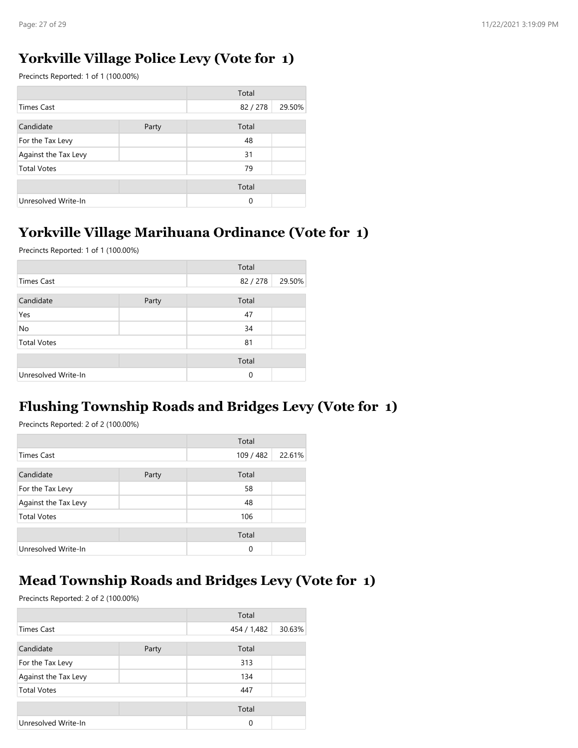### **Yorkville Village Police Levy (Vote for 1)**

Precincts Reported: 1 of 1 (100.00%)

|                      |       | Total    |        |
|----------------------|-------|----------|--------|
| <b>Times Cast</b>    |       | 82/278   | 29.50% |
| Candidate            | Party | Total    |        |
| For the Tax Levy     |       | 48       |        |
| Against the Tax Levy |       | 31       |        |
| <b>Total Votes</b>   |       | 79       |        |
|                      |       | Total    |        |
| Unresolved Write-In  |       | $\Omega$ |        |

## **Yorkville Village Marihuana Ordinance (Vote for 1)**

Precincts Reported: 1 of 1 (100.00%)

|                     |       | Total  |        |
|---------------------|-------|--------|--------|
| <b>Times Cast</b>   |       | 82/278 | 29.50% |
| Candidate           | Party | Total  |        |
| Yes                 |       | 47     |        |
| No                  |       | 34     |        |
| <b>Total Votes</b>  |       | 81     |        |
|                     |       | Total  |        |
| Unresolved Write-In |       | 0      |        |

## **Flushing Township Roads and Bridges Levy (Vote for 1)**

Precincts Reported: 2 of 2 (100.00%)

|                      |       | Total     |        |
|----------------------|-------|-----------|--------|
| <b>Times Cast</b>    |       | 109 / 482 | 22.61% |
| Candidate            | Party | Total     |        |
| For the Tax Levy     |       | 58        |        |
| Against the Tax Levy |       | 48        |        |
| <b>Total Votes</b>   |       | 106       |        |
|                      |       | Total     |        |
| Unresolved Write-In  |       | 0         |        |

## **Mead Township Roads and Bridges Levy (Vote for 1)**

|                      |       | Total       |        |
|----------------------|-------|-------------|--------|
| <b>Times Cast</b>    |       | 454 / 1,482 | 30.63% |
| Candidate            | Party | Total       |        |
| For the Tax Levy     |       | 313         |        |
| Against the Tax Levy |       | 134         |        |
| <b>Total Votes</b>   |       | 447         |        |
|                      |       | Total       |        |
| Unresolved Write-In  |       | 0           |        |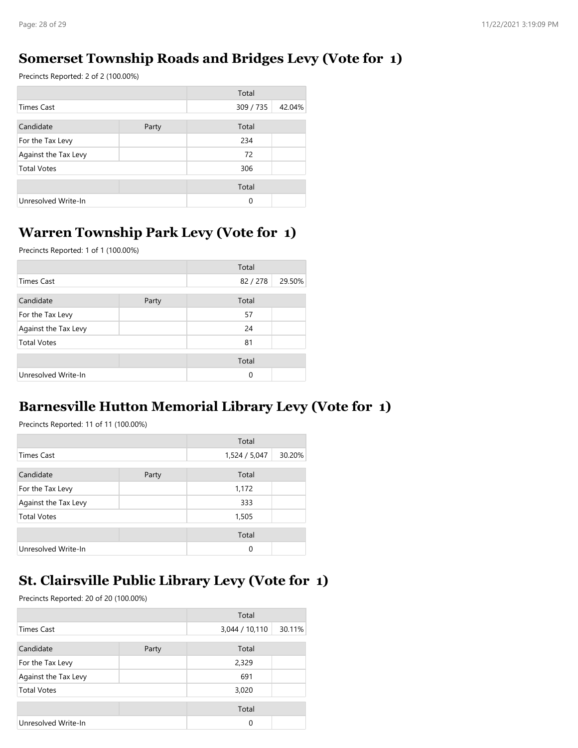### **Somerset Township Roads and Bridges Levy (Vote for 1)**

Precincts Reported: 2 of 2 (100.00%)

|                      |       | Total     |        |
|----------------------|-------|-----------|--------|
| Times Cast           |       | 309 / 735 | 42.04% |
| Candidate            |       | Total     |        |
|                      | Party |           |        |
| For the Tax Levy     |       | 234       |        |
| Against the Tax Levy |       | 72        |        |
| <b>Total Votes</b>   |       | 306       |        |
|                      |       | Total     |        |
| Unresolved Write-In  |       | $\Omega$  |        |

## **Warren Township Park Levy (Vote for 1)**

Precincts Reported: 1 of 1 (100.00%)

|                      |       | Total  |        |
|----------------------|-------|--------|--------|
| Times Cast           |       | 82/278 | 29.50% |
| Candidate            | Party | Total  |        |
| For the Tax Levy     |       | 57     |        |
| Against the Tax Levy |       | 24     |        |
| <b>Total Votes</b>   |       | 81     |        |
|                      |       | Total  |        |
| Unresolved Write-In  |       | 0      |        |

### **Barnesville Hutton Memorial Library Levy (Vote for 1)**

Precincts Reported: 11 of 11 (100.00%)

|                      |       | Total         |        |
|----------------------|-------|---------------|--------|
| <b>Times Cast</b>    |       | 1,524 / 5,047 | 30.20% |
| Candidate            | Party | Total         |        |
| For the Tax Levy     |       | 1,172         |        |
| Against the Tax Levy |       | 333           |        |
| <b>Total Votes</b>   |       | 1,505         |        |
|                      |       | Total         |        |
| Unresolved Write-In  |       | 0             |        |

## **St. Clairsville Public Library Levy (Vote for 1)**

|                      |       | Total          |        |
|----------------------|-------|----------------|--------|
| <b>Times Cast</b>    |       | 3,044 / 10,110 | 30.11% |
| Candidate            | Party | Total          |        |
| For the Tax Levy     |       | 2,329          |        |
| Against the Tax Levy |       | 691            |        |
| <b>Total Votes</b>   |       | 3,020          |        |
|                      |       | Total          |        |
| Unresolved Write-In  |       | $\Omega$       |        |